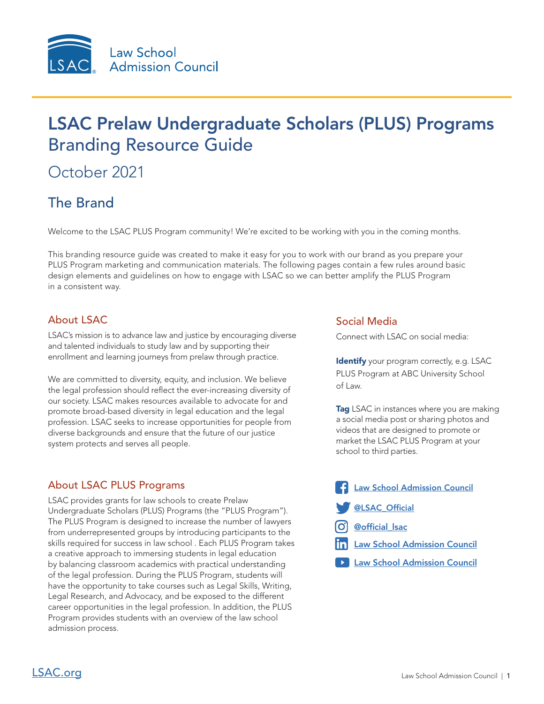

# LSAC Prelaw Undergraduate Scholars (PLUS) Programs Branding Resource Guide

# October 2021

# The Brand

Welcome to the LSAC PLUS Program community! We're excited to be working with you in the coming months.

This branding resource guide was created to make it easy for you to work with our brand as you prepare your PLUS Program marketing and communication materials. The following pages contain a few rules around basic design elements and guidelines on how to engage with LSAC so we can better amplify the PLUS Program in a consistent way.

#### About LSAC

LSAC's mission is to advance law and justice by encouraging diverse and talented individuals to study law and by supporting their enrollment and learning journeys from prelaw through practice.

We are committed to diversity, equity, and inclusion. We believe the legal profession should reflect the ever-increasing diversity of our society. LSAC makes resources available to advocate for and promote broad-based diversity in legal education and the legal profession. LSAC seeks to increase opportunities for people from diverse backgrounds and ensure that the future of our justice system protects and serves all people.

#### About LSAC PLUS Programs

LSAC provides grants for law schools to create Prelaw Undergraduate Scholars (PLUS) Programs (the "PLUS Program"). The PLUS Program is designed to increase the number of lawyers from underrepresented groups by introducing participants to the skills required for success in law school . Each PLUS Program takes a creative approach to immersing students in legal education by balancing classroom academics with practical understanding of the legal profession. During the PLUS Program, students will have the opportunity to take courses such as Legal Skills, Writing, Legal Research, and Advocacy, and be exposed to the different career opportunities in the legal profession. In addition, the PLUS Program provides students with an overview of the law school admission process.

#### Social Media

Connect with LSAC on social media:

Identify your program correctly, e.g. LSAC PLUS Program at ABC University School of Law.

**Tag** LSAC in instances where you are making a social media post or sharing photos and videos that are designed to promote or market the LSAC PLUS Program at your school to third parties.

- [Law School Admission Council](https://www.facebook.com/LawSchoolAdmissionCouncil/)
- [@LSAC\\_Official](https://twitter.com/LSAC_Official)
- [@official\\_lsac](https://www.instagram.com/official_lsac/)
- **Th** [Law School Admission Council](https://www.linkedin.com/company/law-school-admission-council?trk=guest_job_details_topcard_org_name)
- [Law School Admission Council](https://www.youtube.com/user/LSACvideos)

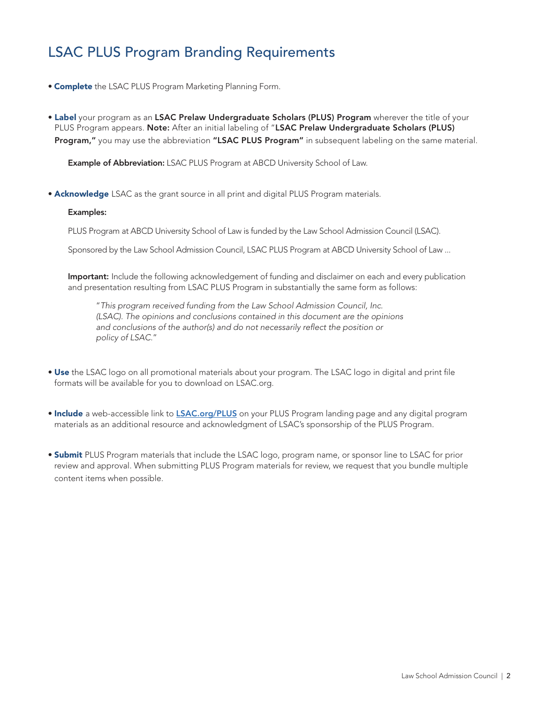## LSAC PLUS Program Branding Requirements

- **Complete** the LSAC PLUS Program Marketing Planning Form.
- Label your program as an LSAC Prelaw Undergraduate Scholars (PLUS) Program wherever the title of your PLUS Program appears. Note: After an initial labeling of "LSAC Prelaw Undergraduate Scholars (PLUS) Program," you may use the abbreviation "LSAC PLUS Program" in subsequent labeling on the same material.

Example of Abbreviation: LSAC PLUS Program at ABCD University School of Law.

**• Acknowledge** LSAC as the grant source in all print and digital PLUS Program materials.

#### Examples:

PLUS Program at ABCD University School of Law is funded by the Law School Admission Council (LSAC).

Sponsored by the Law School Admission Council, LSAC PLUS Program at ABCD University School of Law ...

Important: Include the following acknowledgement of funding and disclaimer on each and every publication and presentation resulting from LSAC PLUS Program in substantially the same form as follows:

"*This program received funding from the Law School Admission Council, Inc. (LSAC). The opinions and conclusions contained in this document are the opinions and conclusions of the author(s) and do not necessarily reflect the position or policy of LSAC.*"

- Use the LSAC logo on all promotional materials about your program. The LSAC logo in digital and print file formats will be available for you to download on LSAC.org.
- Include a web-accessible link to **[LSAC.org/PLUS](https://www.lsac.org/discover-law/diversity-law-school/prelaw-undergraduate-scholars-plus-programs)** on your PLUS Program landing page and any digital program materials as an additional resource and acknowledgment of LSAC's sponsorship of the PLUS Program.
- Submit PLUS Program materials that include the LSAC logo, program name, or sponsor line to LSAC for prior review and approval. When submitting PLUS Program materials for review, we request that you bundle multiple content items when possible.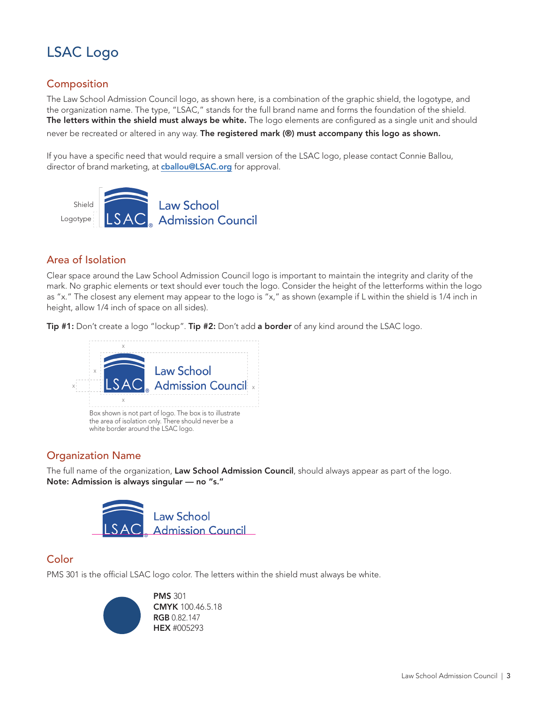# LSAC Logo

### Composition

The Law School Admission Council logo, as shown here, is a combination of the graphic shield, the logotype, and the organization name. The type, "LSAC," stands for the full brand name and forms the foundation of the shield. The letters within the shield must always be white. The logo elements are configured as a single unit and should never be recreated or altered in any way. The registered mark (®) must accompany this logo as shown.

If you have a specific need that would require a small version of the LSAC logo, please contact Connie Ballou, director of brand marketing, at **cballou@LSAC.org** for approval.



#### Area of Isolation

Clear space around the Law School Admission Council logo is important to maintain the integrity and clarity of the mark. No graphic elements or text should ever touch the logo. Consider the height of the letterforms within the logo as "x." The closest any element may appear to the logo is "x," as shown (example if L within the shield is 1/4 inch in height, allow 1/4 inch of space on all sides).

Tip #1: Don't create a logo "lockup". Tip #2: Don't add a border of any kind around the LSAC logo.



#### Organization Name

The full name of the organization, Law School Admission Council, should always appear as part of the logo. Note: Admission is always singular — no "s."



#### **Color**

PMS 301 is the official LSAC logo color. The letters within the shield must always be white.



PMS 301 CMYK 100.46.5.18 RGB 0.82.147 HEX #005293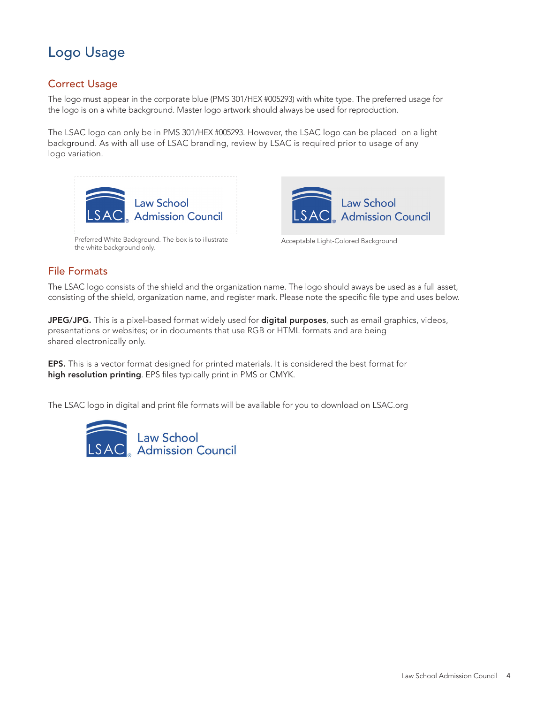# Logo Usage

### Correct Usage

The logo must appear in the corporate blue (PMS 301/HEX #005293) with white type. The preferred usage for the logo is on a white background. Master logo artwork should always be used for reproduction.

The LSAC logo can only be in PMS 301/HEX #005293. However, the LSAC logo can be placed on a light background. As with all use of LSAC branding, review by LSAC is required prior to usage of any logo variation.



Preferred White Background. The box is to illustrate the white background only.



Acceptable Light-Colored Background

#### File Formats

The LSAC logo consists of the shield and the organization name. The logo should aways be used as a full asset, consisting of the shield, organization name, and register mark. Please note the specific file type and uses below.

JPEG/JPG. This is a pixel-based format widely used for digital purposes, such as email graphics, videos, presentations or websites; or in documents that use RGB or HTML formats and are being shared electronically only.

EPS. This is a vector format designed for printed materials. It is considered the best format for high resolution printing. EPS files typically print in PMS or CMYK.

The LSAC logo in digital and print file formats will be available for you to download on LSAC.org

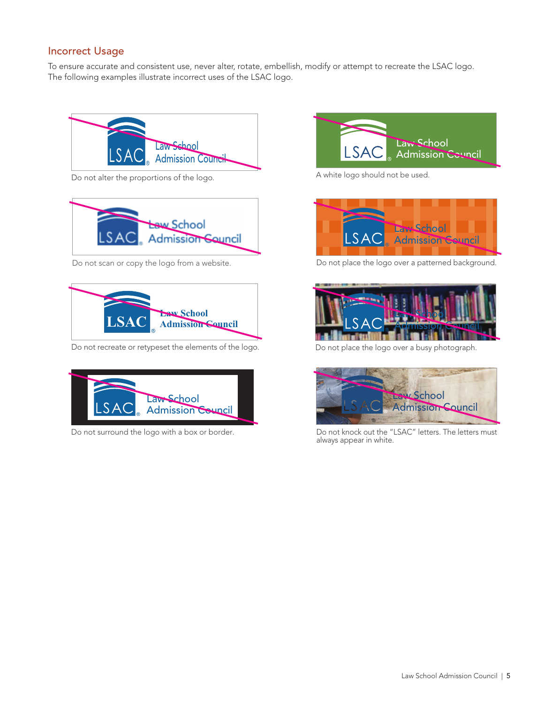#### Incorrect Usage

To ensure accurate and consistent use, never alter, rotate, embellish, modify or attempt to recreate the LSAC logo. The following examples illustrate incorrect uses of the LSAC logo.



Do not alter the proportions of the logo.



Do not scan or copy the logo from a website.



Do not recreate or retypeset the elements of the logo.



Do not surround the logo with a box or border.



A white logo should not be used.



Do not place the logo over a patterned background.



Do not place the logo over a busy photograph.



Do not knock out the "LSAC" letters. The letters must always appear in white.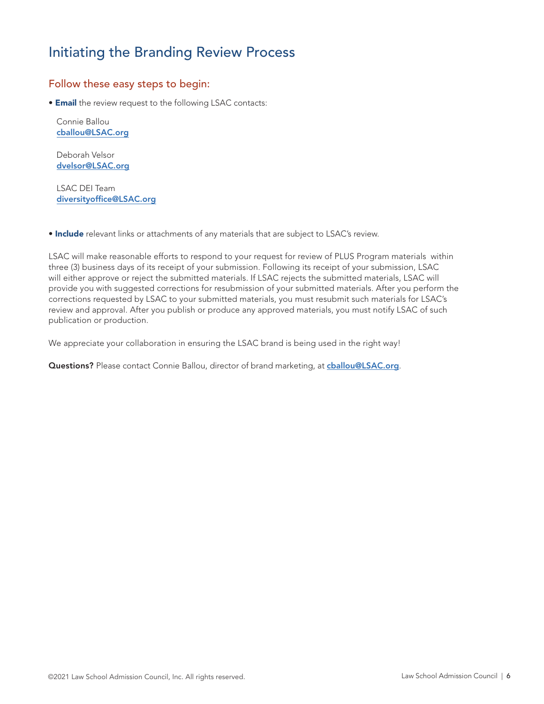## Initiating the Branding Review Process

#### Follow these easy steps to begin:

**• Email** the review request to the following LSAC contacts:

Connie Ballou cballou@LSAC.org

Deborah Velsor dvelsor@LSAC.org

LSAC DEI Team diversityoffice@LSAC.org

**• Include** relevant links or attachments of any materials that are subject to LSAC's review.

LSAC will make reasonable efforts to respond to your request for review of PLUS Program materials within three (3) business days of its receipt of your submission. Following its receipt of your submission, LSAC will either approve or reject the submitted materials. If LSAC rejects the submitted materials, LSAC will provide you with suggested corrections for resubmission of your submitted materials. After you perform the corrections requested by LSAC to your submitted materials, you must resubmit such materials for LSAC's review and approval. After you publish or produce any approved materials, you must notify LSAC of such publication or production.

We appreciate your collaboration in ensuring the LSAC brand is being used in the right way!

Questions? Please contact Connie Ballou, director of brand marketing, at challou@LSAC.org.